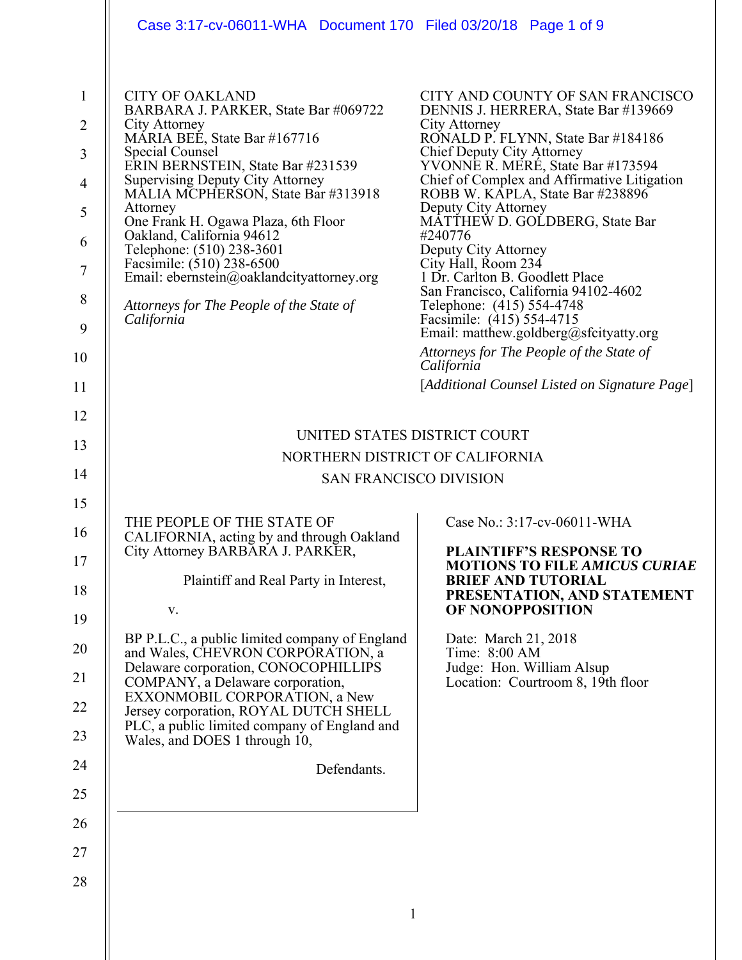|                                                                                                 | Case 3:17-cv-06011-WHA Document 170 Filed 03/20/18 Page 1 of 9                                                                                                                                                                                                                                                                                                                                                                                                                                            |                                                                                                                                                                                                                                                                                                                                                                                                                                                                                                                                                                                                                                                                                                     |
|-------------------------------------------------------------------------------------------------|-----------------------------------------------------------------------------------------------------------------------------------------------------------------------------------------------------------------------------------------------------------------------------------------------------------------------------------------------------------------------------------------------------------------------------------------------------------------------------------------------------------|-----------------------------------------------------------------------------------------------------------------------------------------------------------------------------------------------------------------------------------------------------------------------------------------------------------------------------------------------------------------------------------------------------------------------------------------------------------------------------------------------------------------------------------------------------------------------------------------------------------------------------------------------------------------------------------------------------|
| $\mathbf{1}$<br>$\overline{2}$<br>3<br>$\overline{4}$<br>5<br>6<br>$\tau$<br>8<br>9<br>10<br>11 | <b>CITY OF OAKLAND</b><br>BARBARA J. PARKER, State Bar #069722<br>City Attorney<br>MARIA BEE, State Bar #167716<br>Special Counsel<br>ERIN BERNSTEIN, State Bar #231539<br><b>Supervising Deputy City Attorney</b><br>MALIA MCPHERSON, State Bar #313918<br>Attorney<br>One Frank H. Ogawa Plaza, 6th Floor<br>Oakland, California 94612<br>Telephone: (510) 238-3601<br>Facsimile: (510) 238-6500<br>Email: ebernstein@oaklandcityattorney.org<br>Attorneys for The People of the State of<br>California | CITY AND COUNTY OF SAN FRANCISCO<br>DENNIS J. HERRERA, State Bar #139669<br>City Attorney<br>RONALD P. FLYNN, State Bar #184186<br>Chief Deputy City Attorney<br>YVONNE R. MERE, State Bar #173594<br>Chief of Complex and Affirmative Litigation<br>ROBB W. KĀPLA, State Bar #238896<br>Deputy City Attorney<br>MATTHEW D. GOLDBERG, State Bar<br>#240776<br>Deputy City Attorney<br>City Hall, Room 234<br>1 Dr. Carlton B. Goodlett Place<br>San Francisco, California 94102-4602<br>Telephone: (415) 554-4748<br>Facsimile: (415) 554-4715<br>Email: matthew.goldberg@sfcityatty.org<br>Attorneys for The People of the State of<br>California<br>[Additional Counsel Listed on Signature Page] |
| 12                                                                                              | UNITED STATES DISTRICT COURT                                                                                                                                                                                                                                                                                                                                                                                                                                                                              |                                                                                                                                                                                                                                                                                                                                                                                                                                                                                                                                                                                                                                                                                                     |
| 13                                                                                              | NORTHERN DISTRICT OF CALIFORNIA                                                                                                                                                                                                                                                                                                                                                                                                                                                                           |                                                                                                                                                                                                                                                                                                                                                                                                                                                                                                                                                                                                                                                                                                     |
| 14                                                                                              | <b>SAN FRANCISCO DIVISION</b>                                                                                                                                                                                                                                                                                                                                                                                                                                                                             |                                                                                                                                                                                                                                                                                                                                                                                                                                                                                                                                                                                                                                                                                                     |
| 15<br>16<br>17<br>18                                                                            | THE PEOPLE OF THE STATE OF<br>CALIFORNIA, acting by and through Oakland<br>City Attorney BARBARA J. PARKER,<br>Plaintiff and Real Party in Interest,<br>V.                                                                                                                                                                                                                                                                                                                                                | Case No.: 3:17-cv-06011-WHA<br><b>PLAINTIFF'S RESPONSE TO</b><br><b>MOTIONS TO FILE AMICUS CURIAE</b><br><b>BRIEF AND TUTORIAL</b><br>PRESENTATION, AND STATEMENT<br>OF NONOPPOSITION                                                                                                                                                                                                                                                                                                                                                                                                                                                                                                               |
| 19                                                                                              | BP P.L.C., a public limited company of England                                                                                                                                                                                                                                                                                                                                                                                                                                                            | Date: March 21, 2018                                                                                                                                                                                                                                                                                                                                                                                                                                                                                                                                                                                                                                                                                |
| 20<br>21                                                                                        | and Wales, CHEVRON CORPORATION, a<br>Delaware corporation, CONOCOPHILLIPS<br>COMPANY, a Delaware corporation,<br>EXXONMOBIL CORPORATION, a New                                                                                                                                                                                                                                                                                                                                                            | Time: 8:00 AM<br>Judge: Hon. William Alsup<br>Location: Courtroom 8, 19th floor                                                                                                                                                                                                                                                                                                                                                                                                                                                                                                                                                                                                                     |
| 22                                                                                              | Jersey corporation, ROYAL DUTCH SHELL<br>PLC, a public limited company of England and                                                                                                                                                                                                                                                                                                                                                                                                                     |                                                                                                                                                                                                                                                                                                                                                                                                                                                                                                                                                                                                                                                                                                     |
| 23                                                                                              | Wales, and DOES 1 through 10,                                                                                                                                                                                                                                                                                                                                                                                                                                                                             |                                                                                                                                                                                                                                                                                                                                                                                                                                                                                                                                                                                                                                                                                                     |
| 24                                                                                              | Defendants.                                                                                                                                                                                                                                                                                                                                                                                                                                                                                               |                                                                                                                                                                                                                                                                                                                                                                                                                                                                                                                                                                                                                                                                                                     |
| 25<br>26                                                                                        |                                                                                                                                                                                                                                                                                                                                                                                                                                                                                                           |                                                                                                                                                                                                                                                                                                                                                                                                                                                                                                                                                                                                                                                                                                     |
| 27                                                                                              |                                                                                                                                                                                                                                                                                                                                                                                                                                                                                                           |                                                                                                                                                                                                                                                                                                                                                                                                                                                                                                                                                                                                                                                                                                     |
| 28                                                                                              |                                                                                                                                                                                                                                                                                                                                                                                                                                                                                                           |                                                                                                                                                                                                                                                                                                                                                                                                                                                                                                                                                                                                                                                                                                     |
|                                                                                                 | 1                                                                                                                                                                                                                                                                                                                                                                                                                                                                                                         |                                                                                                                                                                                                                                                                                                                                                                                                                                                                                                                                                                                                                                                                                                     |
|                                                                                                 |                                                                                                                                                                                                                                                                                                                                                                                                                                                                                                           |                                                                                                                                                                                                                                                                                                                                                                                                                                                                                                                                                                                                                                                                                                     |
|                                                                                                 |                                                                                                                                                                                                                                                                                                                                                                                                                                                                                                           |                                                                                                                                                                                                                                                                                                                                                                                                                                                                                                                                                                                                                                                                                                     |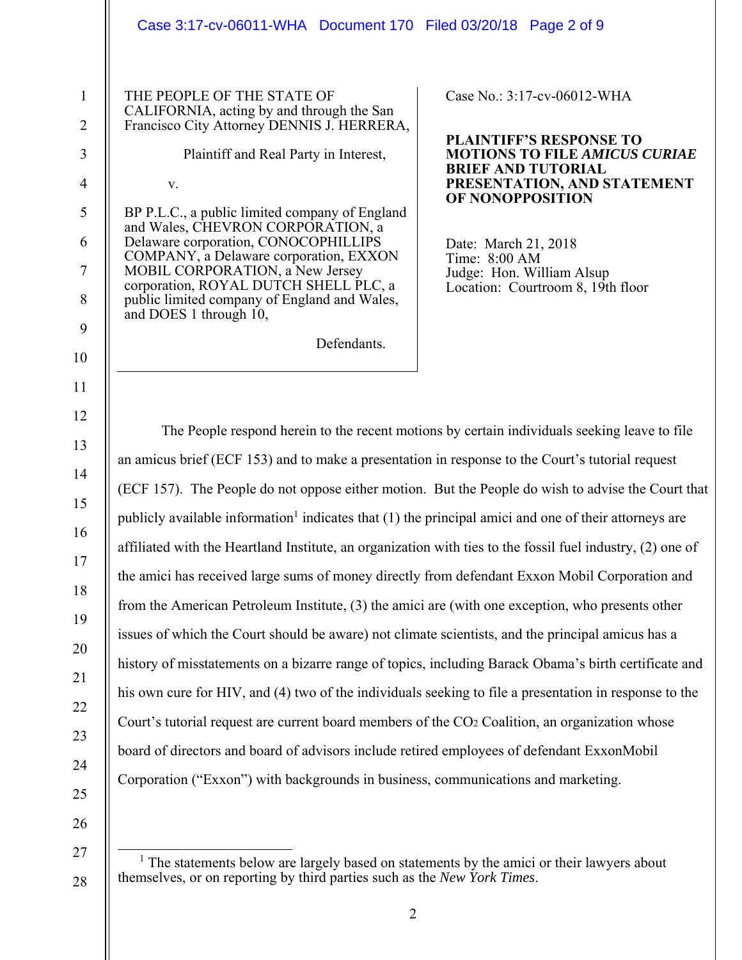|                                                                                        | Case 3:17-cv-06011-WHA Document 170 Filed 03/20/18 Page 2 of 9                                                                                                                                                                                                                                                                                                                                                                                                                                                                                                                                                                                                                                                                                                                                                                                                                                                                                                                                                                                                                                                                                                                                                                                                                                                                                                             |
|----------------------------------------------------------------------------------------|----------------------------------------------------------------------------------------------------------------------------------------------------------------------------------------------------------------------------------------------------------------------------------------------------------------------------------------------------------------------------------------------------------------------------------------------------------------------------------------------------------------------------------------------------------------------------------------------------------------------------------------------------------------------------------------------------------------------------------------------------------------------------------------------------------------------------------------------------------------------------------------------------------------------------------------------------------------------------------------------------------------------------------------------------------------------------------------------------------------------------------------------------------------------------------------------------------------------------------------------------------------------------------------------------------------------------------------------------------------------------|
| $\mathbf{1}$<br>$\overline{2}$<br>3<br>4<br>5<br>6<br>$\tau$<br>$8\,$<br>9             | THE PEOPLE OF THE STATE OF<br>Case No.: 3:17-cv-06012-WHA<br>CALIFORNIA, acting by and through the San<br>Francisco City Attorney DENNIS J. HERRERA,<br><b>PLAINTIFF'S RESPONSE TO</b><br>Plaintiff and Real Party in Interest,<br><b>MOTIONS TO FILE AMICUS CURIAE</b><br><b>BRIEF AND TUTORIAL</b><br>PRESENTATION, AND STATEMENT<br>V.<br>OF NONOPPOSITION<br>BP P.L.C., a public limited company of England<br>and Wales, CHEVRON CORPORATION, a<br>Delaware corporation, CONOCOPHILLIPS<br>Date: March 21, 2018<br>COMPANY, a Delaware corporation, EXXON<br>Time: 8:00 AM<br>MOBIL CORPORATION, a New Jersey<br>Judge: Hon. William Alsup<br>corporation, ROYAL DUTCH SHELL PLC, a<br>Location: Courtroom 8, 19th floor<br>public limited company of England and Wales,<br>and DOES 1 through 10,<br>Defendants.                                                                                                                                                                                                                                                                                                                                                                                                                                                                                                                                                     |
| 10<br>11                                                                               |                                                                                                                                                                                                                                                                                                                                                                                                                                                                                                                                                                                                                                                                                                                                                                                                                                                                                                                                                                                                                                                                                                                                                                                                                                                                                                                                                                            |
| 12<br>13<br>14<br>15<br>16<br>17<br>18<br>19<br>20<br>21<br>22<br>23<br>24<br>25<br>26 | The People respond herein to the recent motions by certain individuals seeking leave to file<br>an amicus brief (ECF 153) and to make a presentation in response to the Court's tutorial request<br>(ECF 157). The People do not oppose either motion. But the People do wish to advise the Court that<br>publicly available information <sup>1</sup> indicates that $(1)$ the principal amici and one of their attorneys are<br>affiliated with the Heartland Institute, an organization with ties to the fossil fuel industry, (2) one of<br>the amici has received large sums of money directly from defendant Exxon Mobil Corporation and<br>from the American Petroleum Institute, (3) the amici are (with one exception, who presents other<br>issues of which the Court should be aware) not climate scientists, and the principal amicus has a<br>history of misstatements on a bizarre range of topics, including Barack Obama's birth certificate and<br>his own cure for HIV, and (4) two of the individuals seeking to file a presentation in response to the<br>Court's tutorial request are current board members of the CO <sub>2</sub> Coalition, an organization whose<br>board of directors and board of advisors include retired employees of defendant ExxonMobil<br>Corporation ("Exxon") with backgrounds in business, communications and marketing. |

<sup>&</sup>lt;sup>1</sup> The statements below are largely based on statements by the amici or their lawyers about themselves, or on reporting by third parties such as the *New York Times*.

27

28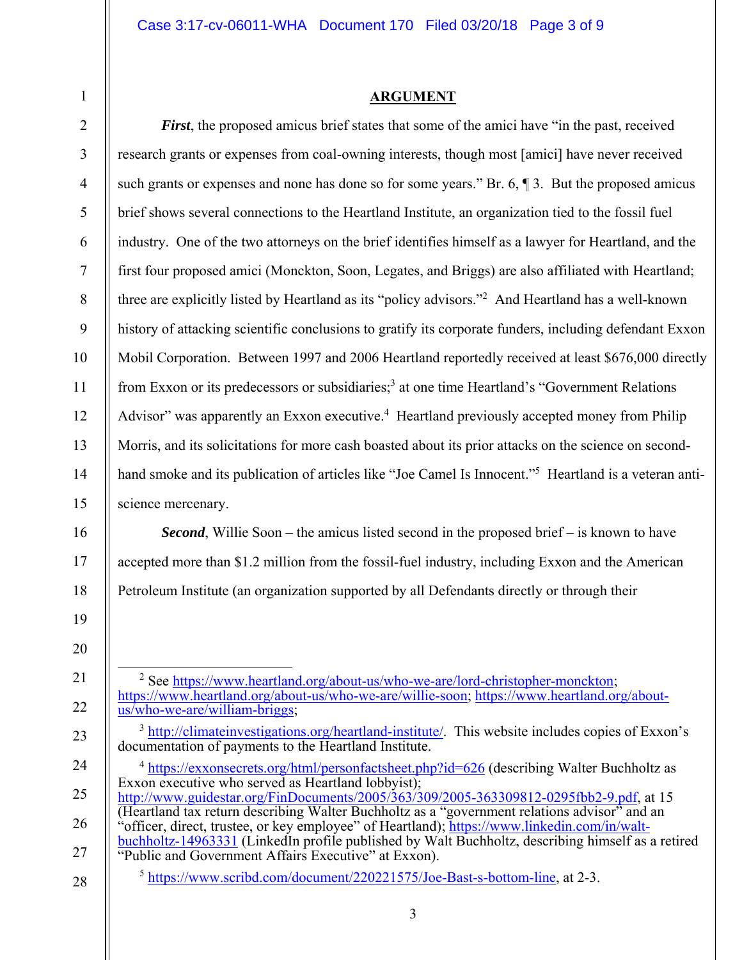1

## **ARGUMENT**

| $\overline{2}$ | First, the proposed amicus brief states that some of the amici have "in the past, received                                                                                                                                                 |
|----------------|--------------------------------------------------------------------------------------------------------------------------------------------------------------------------------------------------------------------------------------------|
| 3              | research grants or expenses from coal-owning interests, though most [amici] have never received                                                                                                                                            |
| $\overline{4}$ | such grants or expenses and none has done so for some years." Br. $6, \P 3$ . But the proposed amicus                                                                                                                                      |
| 5              | brief shows several connections to the Heartland Institute, an organization tied to the fossil fuel                                                                                                                                        |
| 6              | industry. One of the two attorneys on the brief identifies himself as a lawyer for Heartland, and the                                                                                                                                      |
| $\overline{7}$ | first four proposed amici (Monckton, Soon, Legates, and Briggs) are also affiliated with Heartland;                                                                                                                                        |
| $\,8\,$        | three are explicitly listed by Heartland as its "policy advisors." <sup>2</sup> And Heartland has a well-known                                                                                                                             |
| 9              | history of attacking scientific conclusions to gratify its corporate funders, including defendant Exxon                                                                                                                                    |
| 10             | Mobil Corporation. Between 1997 and 2006 Heartland reportedly received at least \$676,000 directly                                                                                                                                         |
| 11             | from Exxon or its predecessors or subsidiaries; <sup>3</sup> at one time Heartland's "Government Relations"                                                                                                                                |
| 12             | Advisor" was apparently an Exxon executive. <sup>4</sup> Heartland previously accepted money from Philip                                                                                                                                   |
| 13             | Morris, and its solicitations for more cash boasted about its prior attacks on the science on second-                                                                                                                                      |
| 14             | hand smoke and its publication of articles like "Joe Camel Is Innocent." <sup>5</sup> Heartland is a veteran anti-                                                                                                                         |
| 15             | science mercenary.                                                                                                                                                                                                                         |
| 16             | <b>Second</b> , Willie Soon – the amicus listed second in the proposed brief – is known to have                                                                                                                                            |
| 17             | accepted more than \$1.2 million from the fossil-fuel industry, including Exxon and the American                                                                                                                                           |
| 18             | Petroleum Institute (an organization supported by all Defendants directly or through their                                                                                                                                                 |
| 19             |                                                                                                                                                                                                                                            |
| 20             |                                                                                                                                                                                                                                            |
| 21             | <sup>2</sup> See https://www.heartland.org/about-us/who-we-are/lord-christopher-monckton;                                                                                                                                                  |
| 22             | https://www.heartland.org/about-us/who-we-are/willie-soon; https://www.heartland.org/about-<br>us/who-we-are/william-briggs;                                                                                                               |
| 23             | <sup>3</sup> http://climateinvestigations.org/heartland-institute/. This website includes copies of Exxon's<br>documentation of payments to the Heartland Institute.                                                                       |
| 24             | <sup>4</sup> https://exxonsecrets.org/html/personfactsheet.php?id=626 (describing Walter Buchholtz as                                                                                                                                      |
| 25             | Exxon executive who served as Heartland lobbyist);<br>http://www.guidestar.org/FinDocuments/2005/363/309/2005-363309812-0295fbb2-9.pdf, at 15 (Heartland tax return describing Walter Buchholtz as a "government relations advisor" and an |
| 26             | "officer, direct, trustee, or key employee" of Heartland); https://www.linkedin.com/in/walt-                                                                                                                                               |
| 27             | buchholtz-14963331 (LinkedIn profile published by Walt Buchholtz, describing himself as a retired<br>"Public and Government Affairs Executive" at Exxon).                                                                                  |
| 28             | <sup>5</sup> https://www.scribd.com/document/220221575/Joe-Bast-s-bottom-line, at 2-3.                                                                                                                                                     |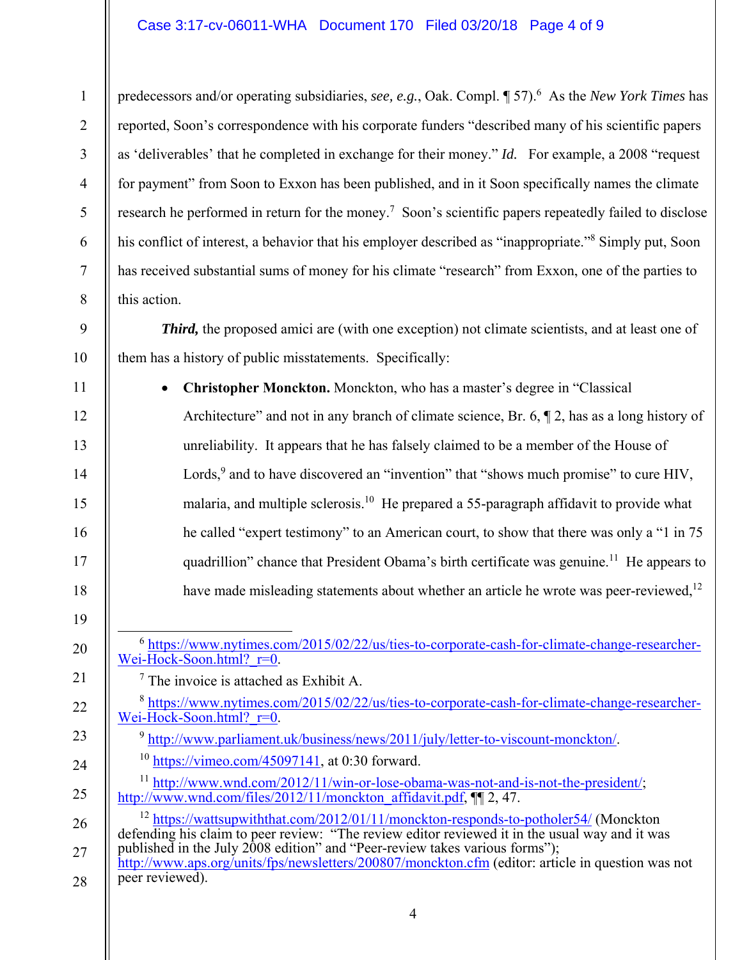## Case 3:17-cv-06011-WHA Document 170 Filed 03/20/18 Page 4 of 9

predecessors and/or operating subsidiaries, *see*, *e.g.*, Oak. Compl. ¶ 57).<sup>6</sup> As the *New York Times* has reported, Soon's correspondence with his corporate funders "described many of his scientific papers as 'deliverables' that he completed in exchange for their money." *Id.* For example, a 2008 "request for payment" from Soon to Exxon has been published, and in it Soon specifically names the climate research he performed in return for the money.<sup>7</sup> Soon's scientific papers repeatedly failed to disclose his conflict of interest, a behavior that his employer described as "inappropriate."<sup>8</sup> Simply put, Soon has received substantial sums of money for his climate "research" from Exxon, one of the parties to this action.

*Third*, the proposed amici are (with one exception) not climate scientists, and at least one of them has a history of public misstatements. Specifically:

 **Christopher Monckton.** Monckton, who has a master's degree in "Classical Architecture" and not in any branch of climate science, Br. 6, ¶ 2, has as a long history of unreliability. It appears that he has falsely claimed to be a member of the House of Lords,  $9$  and to have discovered an "invention" that "shows much promise" to cure HIV, malaria, and multiple sclerosis.<sup>10</sup> He prepared a 55-paragraph affidavit to provide what he called "expert testimony" to an American court, to show that there was only a "1 in 75 quadrillion" chance that President Obama's birth certificate was genuine.<sup>11</sup> He appears to have made misleading statements about whether an article he wrote was peer-reviewed,<sup>12</sup>

 $6$  https://www.nytimes.com/2015/02/22/us/ties-to-corporate-cash-for-climate-change-researcher-Wei-Hock-Soon.html? r=0.

7 The invoice is attached as Exhibit A.

1

2

3

4

5

6

7

8

9

10

11

12

13

14

15

16

17

18

19

20

21

22

23

24

25

- <sup>8</sup> https://www.nytimes.com/2015/02/22/us/ties-to-corporate-cash-for-climate-change-researcher-Wei-Hock-Soon.html? r=0.
	- <sup>9</sup> http://www.parliament.uk/business/news/2011/july/letter-to-viscount-monckton/.
	- $10$  https://vimeo.com/45097141, at 0:30 forward.
- <sup>11</sup> http://www.wnd.com/2012/11/win-or-lose-obama-was-not-and-is-not-the-president/; http://www.wnd.com/files/2012/11/monckton\_affidavit.pdf, ¶[ 2, 47.

26 27 <sup>12</sup> https://wattsupwiththat.com/2012/01/11/monckton-responds-to-potholer54/ (Monckton defending his claim to peer review: "The review editor reviewed it in the usual way and it was published in the July 2008 edition" and "Peer-review takes various forms"); http://www.aps.org/units/fps/newsletters/200807/monckton.cfm (editor: article in question was not

28 peer reviewed).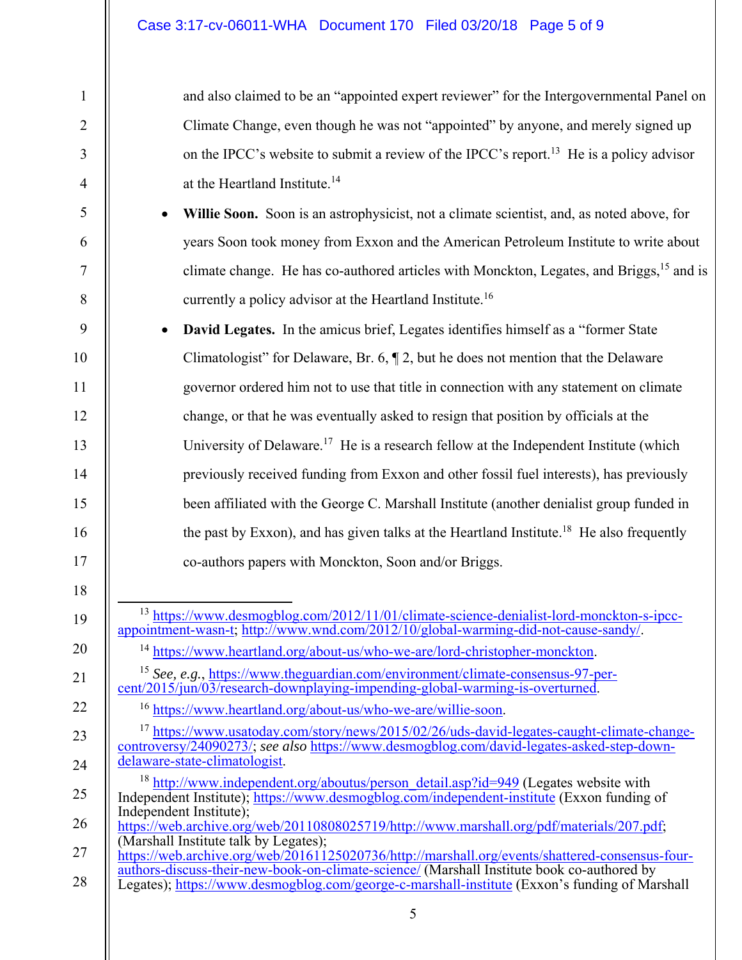1

2

3

4

5

6

7

8

9

10

11

12

13

14

15

16

17

18

19

20

21

22

23

24

25

26

and also claimed to be an "appointed expert reviewer" for the Intergovernmental Panel on Climate Change, even though he was not "appointed" by anyone, and merely signed up on the IPCC's website to submit a review of the IPCC's report.<sup>13</sup> He is a policy advisor at the Heartland Institute.14

- **Willie Soon.** Soon is an astrophysicist, not a climate scientist, and, as noted above, for years Soon took money from Exxon and the American Petroleum Institute to write about climate change. He has co-authored articles with Monckton, Legates, and Briggs,15 and is currently a policy advisor at the Heartland Institute.16
- **David Legates.** In the amicus brief, Legates identifies himself as a "former State Climatologist" for Delaware, Br. 6, ¶ 2, but he does not mention that the Delaware governor ordered him not to use that title in connection with any statement on climate change, or that he was eventually asked to resign that position by officials at the University of Delaware.<sup>17</sup> He is a research fellow at the Independent Institute (which previously received funding from Exxon and other fossil fuel interests), has previously been affiliated with the George C. Marshall Institute (another denialist group funded in the past by Exxon), and has given talks at the Heartland Institute.<sup>18</sup> He also frequently co-authors papers with Monckton, Soon and/or Briggs.
- <sup>13</sup> https://www.desmogblog.com/2012/11/01/climate-science-denialist-lord-monckton-s-ipccappointment-wasn-t; http://www.wnd.com/2012/10/global-warming-did-not-cause-sandy/.
	- <sup>14</sup> https://www.heartland.org/about-us/who-we-are/lord-christopher-monckton.

<sup>15</sup> *See, e.g.*, https://www.theguardian.com/environment/climate-consensus-97-percent/2015/jun/03/research-downplaying-impending-global-warming-is-overturned.

<sup>16</sup> https://www.heartland.org/about-us/who-we-are/willie-soon.

- <sup>17</sup> https://www.usatoday.com/story/news/2015/02/26/uds-david-legates-caught-climate-changecontroversy/24090273/; *see also* https://www.desmogblog.com/david-legates-asked-step-downdelaware-state-climatologist.
- $18 \text{ http://www.independent.org/aboutus/person detail.asp?id=949 (Legates website with}$ Independent Institute); https://www.desmogblog.com/independent-institute (Exxon funding of Independent Institute); https://web.archive.org/web/20110808025719/http://www.marshall.org/pdf/materials/207.pdf;
- 27 28 (Marshall Institute talk by Legates); https://web.archive.org/web/20161125020736/http://marshall.org/events/shattered-consensus-fourauthors-discuss-their-new-book-on-climate-science/ (Marshall Institute book co-authored by
- Legates); https://www.desmogblog.com/george-c-marshall-institute (Exxon's funding of Marshall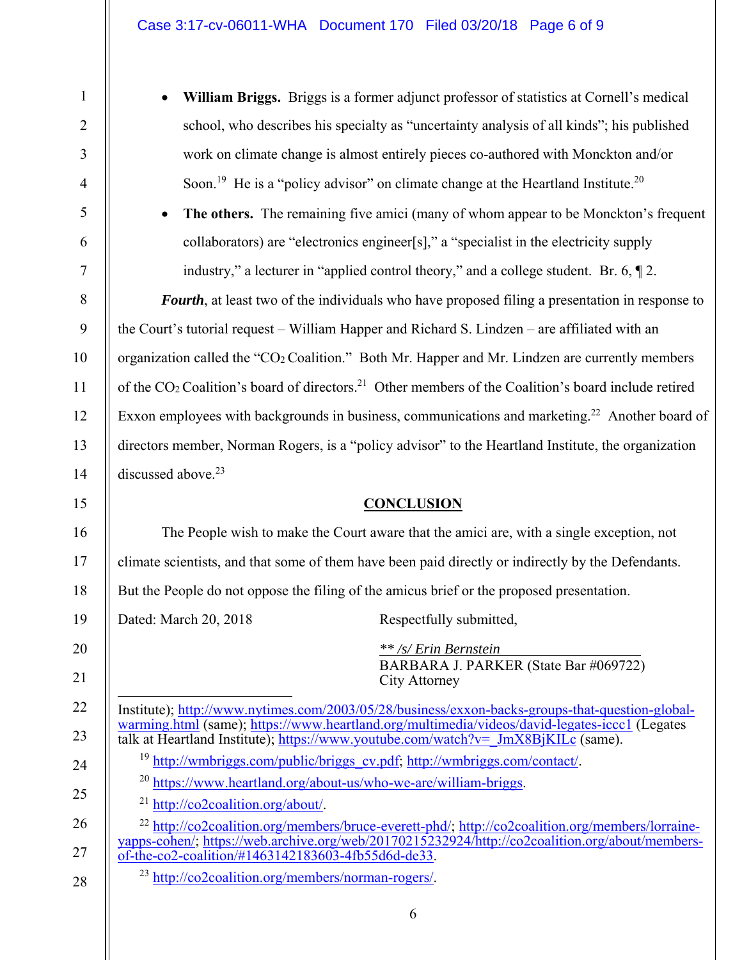| $\mathbf{1}$   | William Briggs. Briggs is a former adjunct professor of statistics at Cornell's medical                                                                                                                                                                                               |
|----------------|---------------------------------------------------------------------------------------------------------------------------------------------------------------------------------------------------------------------------------------------------------------------------------------|
| $\overline{2}$ | school, who describes his specialty as "uncertainty analysis of all kinds"; his published                                                                                                                                                                                             |
| 3              | work on climate change is almost entirely pieces co-authored with Monckton and/or                                                                                                                                                                                                     |
| $\overline{4}$ | Soon. <sup>19</sup> He is a "policy advisor" on climate change at the Heartland Institute. <sup>20</sup>                                                                                                                                                                              |
| 5              | The others. The remaining five amici (many of whom appear to be Monckton's frequent                                                                                                                                                                                                   |
| 6              | collaborators) are "electronics engineer[s]," a "specialist in the electricity supply                                                                                                                                                                                                 |
| $\overline{7}$ | industry," a lecturer in "applied control theory," and a college student. Br. 6, $\llbracket 2$ .                                                                                                                                                                                     |
| $8\,$          | <b>Fourth</b> , at least two of the individuals who have proposed filing a presentation in response to                                                                                                                                                                                |
| 9              | the Court's tutorial request - William Happer and Richard S. Lindzen - are affiliated with an                                                                                                                                                                                         |
| 10             | organization called the "CO <sub>2</sub> Coalition." Both Mr. Happer and Mr. Lindzen are currently members                                                                                                                                                                            |
| 11             | of the CO <sub>2</sub> Coalition's board of directors. <sup>21</sup> Other members of the Coalition's board include retired                                                                                                                                                           |
| 12             | Exxon employees with backgrounds in business, communications and marketing. <sup>22</sup> Another board of                                                                                                                                                                            |
| 13             | directors member, Norman Rogers, is a "policy advisor" to the Heartland Institute, the organization                                                                                                                                                                                   |
| 14             | discussed above. <sup>23</sup>                                                                                                                                                                                                                                                        |
| 15             | <b>CONCLUSION</b>                                                                                                                                                                                                                                                                     |
| 16             | The People wish to make the Court aware that the amici are, with a single exception, not                                                                                                                                                                                              |
| 17             | climate scientists, and that some of them have been paid directly or indirectly by the Defendants.                                                                                                                                                                                    |
| 18             | But the People do not oppose the filing of the amicus brief or the proposed presentation.                                                                                                                                                                                             |
| 19             | Dated: March 20, 2018<br>Respectfully submitted,                                                                                                                                                                                                                                      |
| 20<br>21       | ** /s/ Erin Bernstein<br>BARBARA J. PARKER (State Bar #069722)<br><b>City Attorney</b>                                                                                                                                                                                                |
| 22<br>23       | Institute); http://www.nytimes.com/2003/05/28/business/exxon-backs-groups-that-question-global-<br>warming.html (same); https://www.heartland.org/multimedia/videos/david-legates-iccc1 (Legates<br>talk at Heartland Institute); https://www.youtube.com/watch?v= JmX8BjKILc (same). |

<sup>19</sup> http://wmbriggs.com/public/briggs\_cv.pdf; http://wmbriggs.com/contact/.

<sup>20</sup> https://www.heartland.org/about-us/who-we-are/william-briggs.

<sup>21</sup> http://co2coalition.org/about/.

24

25

26

27

28

<sup>22</sup> http://co2coalition.org/members/bruce-everett-phd/; http://co2coalition.org/members/lorraineyapps-cohen/; https://web.archive.org/web/20170215232924/http://co2coalition.org/about/membersof-the-co2-coalition/#1463142183603-4fb55d6d-de33.

<sup>23</sup> http://co2coalition.org/members/norman-rogers/.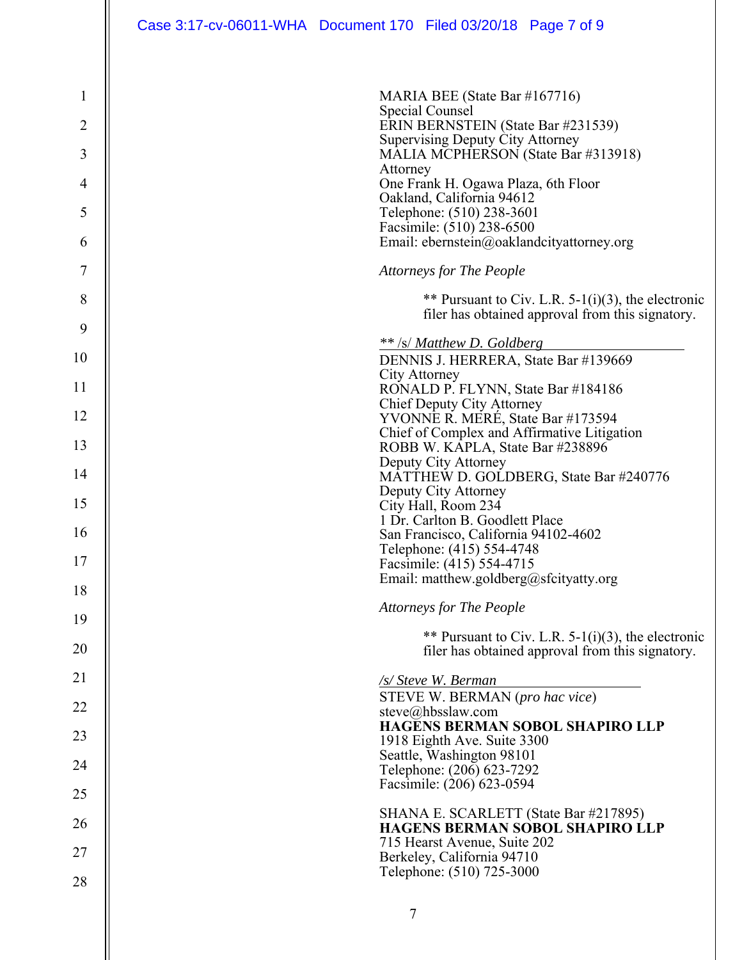| $\mathbf{1}$   | MARIA BEE (State Bar #167716)                                                                             |
|----------------|-----------------------------------------------------------------------------------------------------------|
| $\overline{2}$ | Special Counsel<br>ERIN BERNSTEIN (State Bar #231539)                                                     |
| 3              | Supervising Deputy City Attorney<br>MALIA MCPHERSON (State Bar #313918)                                   |
| 4              | Attorney<br>One Frank H. Ogawa Plaza, 6th Floor                                                           |
| 5              | Oakland, California 94612<br>Telephone: (510) 238-3601                                                    |
| 6              | Facsimile: (510) 238-6500<br>Email: ebernstein@oaklandcityattorney.org                                    |
| 7              | <b>Attorneys for The People</b>                                                                           |
| 8              |                                                                                                           |
|                | ** Pursuant to Civ. L.R. $5-1(i)(3)$ , the electronic<br>filer has obtained approval from this signatory. |
| 9              | ** /s/ Matthew D. Goldberg                                                                                |
| 10             | DENNIS J. HERRERA, State Bar #139669<br><b>City Attorney</b>                                              |
| 11             | RONALD P. FLYNN, State Bar #184186                                                                        |
| 12             | Chief Deputy City Attorney<br>YVONNE R. MERÉ, State Bar #173594                                           |
| 13             | Chief of Complex and Affirmative Litigation<br>ROBB W. KAPLA, State Bar #238896                           |
| 14             | Deputy City Attorney<br>MATTHEW D. GOLDBERG, State Bar #240776                                            |
| 15             | Deputy City Attorney<br>City Hall, Room 234                                                               |
| 16             | 1 Dr. Carlton B. Goodlett Place<br>San Francisco, California 94102-4602                                   |
| 17             | Telephone: (415) 554-4748                                                                                 |
| 18             | Facsimile: (415) 554-4715<br>Email: matthew.goldberg@sfcityatty.org                                       |
| 19             | <b>Attorneys for The People</b>                                                                           |
| 20             | ** Pursuant to Civ. L.R. $5-1(i)(3)$ , the electronic                                                     |
|                | filer has obtained approval from this signatory.                                                          |
| 21             | /s/ Steve W. Berman<br>STEVE W. BERMAN (pro hac vice)                                                     |
| 22             | steve@hbsslaw.com<br><b>HAGENS BERMAN SOBOL SHAPIRO LLP</b>                                               |
| 23             | 1918 Eighth Ave. Suite 3300                                                                               |
| 24             | Seattle, Washington 98101<br>Telephone: (206) 623-7292                                                    |
| 25             | Facsimile: (206) 623-0594                                                                                 |
| 26             | SHANA E. SCARLETT (State Bar #217895)<br><b>HAGENS BERMAN SOBOL SHAPIRO LLP</b>                           |
| 27             | 715 Hearst Avenue, Suite 202<br>Berkeley, California 94710                                                |
| 28             | Telephone: (510) 725-3000                                                                                 |
|                | 7                                                                                                         |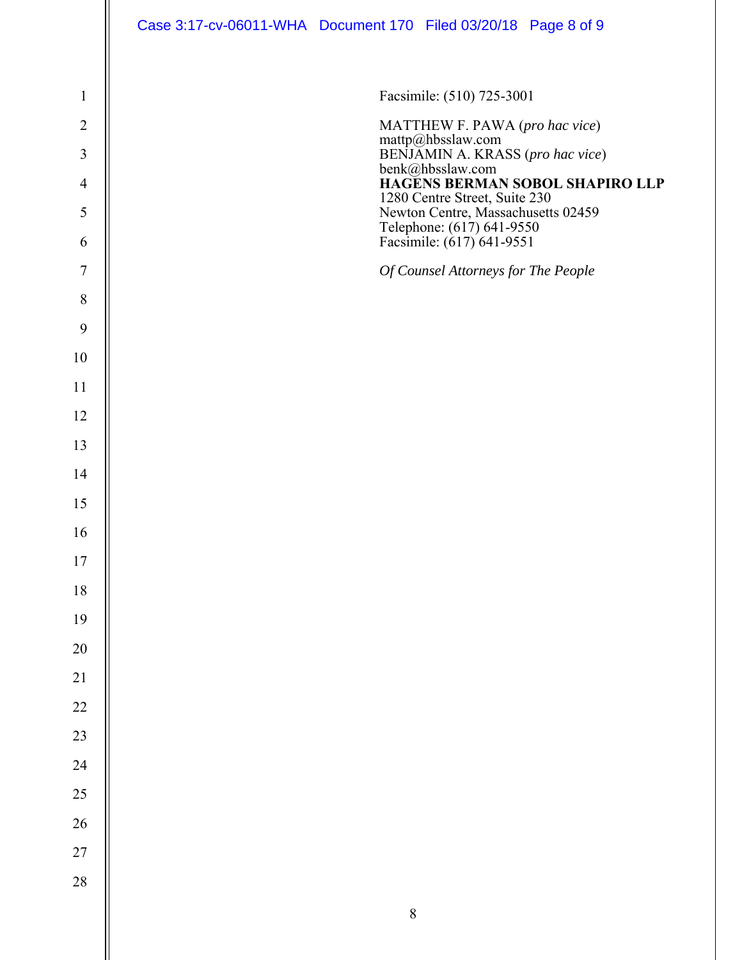|                 | Case 3:17-cv-06011-WHA Document 170 Filed 03/20/18 Page 8 of 9                               |
|-----------------|----------------------------------------------------------------------------------------------|
|                 |                                                                                              |
| $\mathbf{1}$    | Facsimile: (510) 725-3001                                                                    |
| $\overline{2}$  | MATTHEW F. PAWA (pro hac vice)                                                               |
| 3               | mattp@hbsslaw.com<br>BENJAMIN A. KRASS (pro hac vice)                                        |
| $\overline{4}$  | benk@hbsslaw.com<br>HAGENS BERMAN SOBOL SHAPIRO LLP<br>1280 Centre Street, Suite 230         |
| $\mathfrak{S}$  | Newton Centre, Massachusetts 02459<br>Telephone: (617) 641-9550<br>Facsimile: (617) 641-9551 |
| 6               |                                                                                              |
| $\overline{7}$  | Of Counsel Attorneys for The People                                                          |
| $8\,$           |                                                                                              |
| $\overline{9}$  |                                                                                              |
| 10              |                                                                                              |
| 11              |                                                                                              |
| 12              |                                                                                              |
| 13              |                                                                                              |
| 14              |                                                                                              |
| 15              |                                                                                              |
| 16              |                                                                                              |
| $17$            |                                                                                              |
| $18\,$          |                                                                                              |
| 19              |                                                                                              |
| 20              |                                                                                              |
| $\overline{21}$ |                                                                                              |
| 22              |                                                                                              |
| 23              |                                                                                              |
| 24              |                                                                                              |
| 25              |                                                                                              |
| 26              |                                                                                              |
| 27              |                                                                                              |
| $28\,$          |                                                                                              |
|                 | $\,$ $\,$                                                                                    |
|                 |                                                                                              |